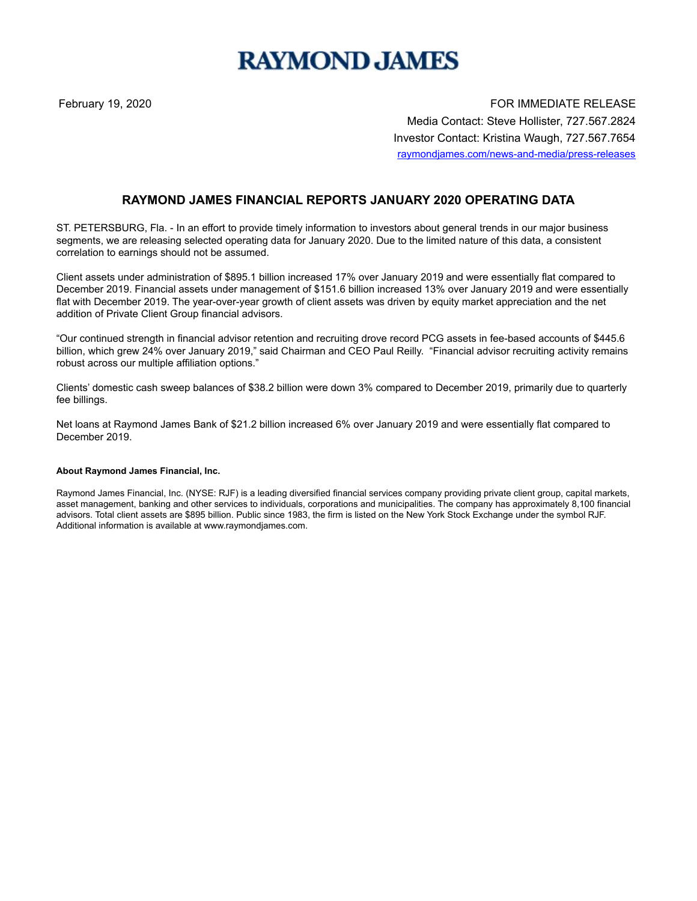## **RAYMOND JAMES**

February 19, 2020 **For the U.S. A. A. S. A. S. A. S. A. S. A. S. A. S. A. S. A. S. A. S. A. S. A. S. A. S. A. S. A. S. A. S. A. S. A. S. A. S. A. S. A. S. A. S. A. S. A. S. A. S. A. S. A. S. A. S. A. S. A. S. A. S. A. S. A** Media Contact: Steve Hollister, 727.567.2824 Investor Contact: Kristina Waugh, 727.567.7654 raymondjames.com/news-and-media/press-releases

## **RAYMOND JAMES FINANCIAL REPORTS JANUARY 2020 OPERATING DATA**

ST. PETERSBURG, Fla. - In an effort to provide timely information to investors about general trends in our major business segments, we are releasing selected operating data for January 2020. Due to the limited nature of this data, a consistent correlation to earnings should not be assumed.

Client assets under administration of \$895.1 billion increased 17% over January 2019 and were essentially flat compared to December 2019. Financial assets under management of \$151.6 billion increased 13% over January 2019 and were essentially flat with December 2019. The year-over-year growth of client assets was driven by equity market appreciation and the net addition of Private Client Group financial advisors.

"Our continued strength in financial advisor retention and recruiting drove record PCG assets in fee-based accounts of \$445.6 billion, which grew 24% over January 2019," said Chairman and CEO Paul Reilly. "Financial advisor recruiting activity remains robust across our multiple affiliation options."

Clients' domestic cash sweep balances of \$38.2 billion were down 3% compared to December 2019, primarily due to quarterly fee billings.

Net loans at Raymond James Bank of \$21.2 billion increased 6% over January 2019 and were essentially flat compared to December 2019.

## **About Raymond James Financial, Inc.**

Raymond James Financial, Inc. (NYSE: RJF) is a leading diversified financial services company providing private client group, capital markets, asset management, banking and other services to individuals, corporations and municipalities. The company has approximately 8,100 financial advisors. Total client assets are \$895 billion. Public since 1983, the firm is listed on the New York Stock Exchange under the symbol RJF. Additional information is available at www.raymondjames.com.